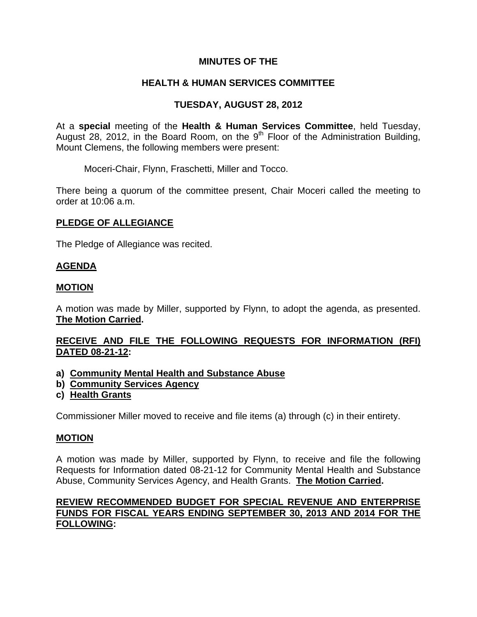## **MINUTES OF THE**

# **HEALTH & HUMAN SERVICES COMMITTEE**

# **TUESDAY, AUGUST 28, 2012**

At a **special** meeting of the **Health & Human Services Committee**, held Tuesday, August 28, 2012, in the Board Room, on the 9<sup>th</sup> Floor of the Administration Building, Mount Clemens, the following members were present:

Moceri-Chair, Flynn, Fraschetti, Miller and Tocco.

There being a quorum of the committee present, Chair Moceri called the meeting to order at 10:06 a.m.

### **PLEDGE OF ALLEGIANCE**

The Pledge of Allegiance was recited.

### **AGENDA**

### **MOTION**

A motion was made by Miller, supported by Flynn, to adopt the agenda, as presented. **The Motion Carried.** 

## **RECEIVE AND FILE THE FOLLOWING REQUESTS FOR INFORMATION (RFI) DATED 08-21-12:**

- **a) Community Mental Health and Substance Abuse**
- **b) Community Services Agency**
- **c) Health Grants**

Commissioner Miller moved to receive and file items (a) through (c) in their entirety.

#### **MOTION**

A motion was made by Miller, supported by Flynn, to receive and file the following Requests for Information dated 08-21-12 for Community Mental Health and Substance Abuse, Community Services Agency, and Health Grants. **The Motion Carried.** 

## **REVIEW RECOMMENDED BUDGET FOR SPECIAL REVENUE AND ENTERPRISE FUNDS FOR FISCAL YEARS ENDING SEPTEMBER 30, 2013 AND 2014 FOR THE FOLLOWING:**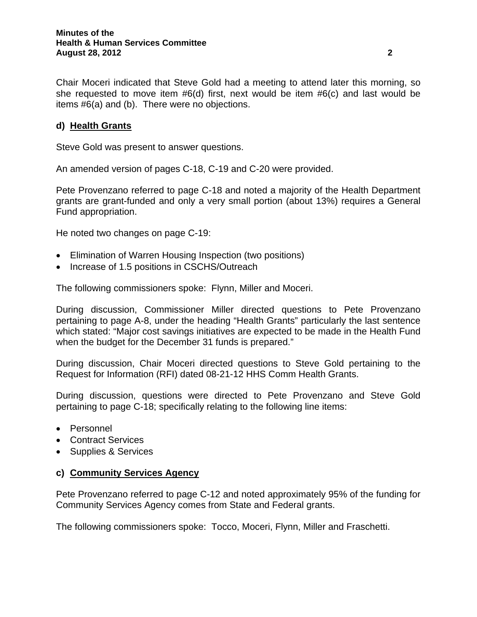Chair Moceri indicated that Steve Gold had a meeting to attend later this morning, so she requested to move item #6(d) first, next would be item #6(c) and last would be items #6(a) and (b). There were no objections.

## **d) Health Grants**

Steve Gold was present to answer questions.

An amended version of pages C-18, C-19 and C-20 were provided.

Pete Provenzano referred to page C-18 and noted a majority of the Health Department grants are grant-funded and only a very small portion (about 13%) requires a General Fund appropriation.

He noted two changes on page C-19:

- Elimination of Warren Housing Inspection (two positions)
- Increase of 1.5 positions in CSCHS/Outreach

The following commissioners spoke: Flynn, Miller and Moceri.

During discussion, Commissioner Miller directed questions to Pete Provenzano pertaining to page A-8, under the heading "Health Grants" particularly the last sentence which stated: "Major cost savings initiatives are expected to be made in the Health Fund when the budget for the December 31 funds is prepared."

During discussion, Chair Moceri directed questions to Steve Gold pertaining to the Request for Information (RFI) dated 08-21-12 HHS Comm Health Grants.

During discussion, questions were directed to Pete Provenzano and Steve Gold pertaining to page C-18; specifically relating to the following line items:

- Personnel
- Contract Services
- Supplies & Services

#### **c) Community Services Agency**

Pete Provenzano referred to page C-12 and noted approximately 95% of the funding for Community Services Agency comes from State and Federal grants.

The following commissioners spoke: Tocco, Moceri, Flynn, Miller and Fraschetti.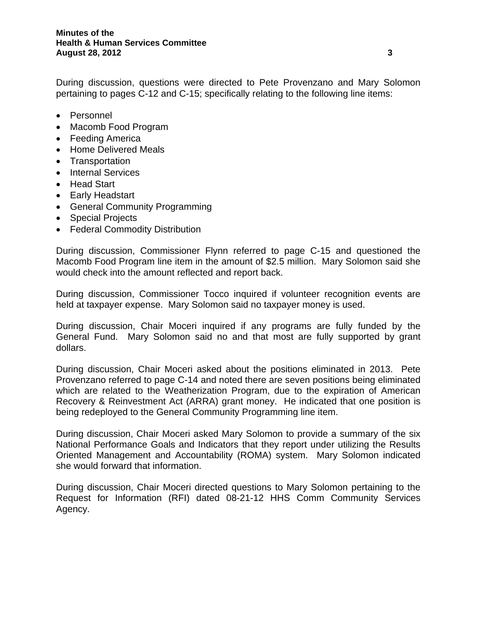During discussion, questions were directed to Pete Provenzano and Mary Solomon pertaining to pages C-12 and C-15; specifically relating to the following line items:

- Personnel
- Macomb Food Program
- Feeding America
- Home Delivered Meals
- Transportation
- Internal Services
- Head Start
- Early Headstart
- General Community Programming
- Special Projects
- Federal Commodity Distribution

During discussion, Commissioner Flynn referred to page C-15 and questioned the Macomb Food Program line item in the amount of \$2.5 million. Mary Solomon said she would check into the amount reflected and report back.

During discussion, Commissioner Tocco inquired if volunteer recognition events are held at taxpayer expense. Mary Solomon said no taxpayer money is used.

During discussion, Chair Moceri inquired if any programs are fully funded by the General Fund. Mary Solomon said no and that most are fully supported by grant dollars.

During discussion, Chair Moceri asked about the positions eliminated in 2013. Pete Provenzano referred to page C-14 and noted there are seven positions being eliminated which are related to the Weatherization Program, due to the expiration of American Recovery & Reinvestment Act (ARRA) grant money. He indicated that one position is being redeployed to the General Community Programming line item.

During discussion, Chair Moceri asked Mary Solomon to provide a summary of the six National Performance Goals and Indicators that they report under utilizing the Results Oriented Management and Accountability (ROMA) system. Mary Solomon indicated she would forward that information.

During discussion, Chair Moceri directed questions to Mary Solomon pertaining to the Request for Information (RFI) dated 08-21-12 HHS Comm Community Services Agency.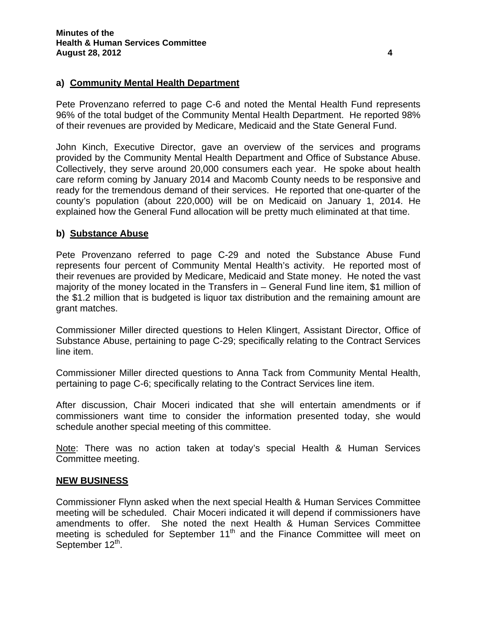## **a) Community Mental Health Department**

Pete Provenzano referred to page C-6 and noted the Mental Health Fund represents 96% of the total budget of the Community Mental Health Department. He reported 98% of their revenues are provided by Medicare, Medicaid and the State General Fund.

John Kinch, Executive Director, gave an overview of the services and programs provided by the Community Mental Health Department and Office of Substance Abuse. Collectively, they serve around 20,000 consumers each year. He spoke about health care reform coming by January 2014 and Macomb County needs to be responsive and ready for the tremendous demand of their services. He reported that one-quarter of the county's population (about 220,000) will be on Medicaid on January 1, 2014. He explained how the General Fund allocation will be pretty much eliminated at that time.

### **b) Substance Abuse**

Pete Provenzano referred to page C-29 and noted the Substance Abuse Fund represents four percent of Community Mental Health's activity. He reported most of their revenues are provided by Medicare, Medicaid and State money. He noted the vast majority of the money located in the Transfers in – General Fund line item, \$1 million of the \$1.2 million that is budgeted is liquor tax distribution and the remaining amount are grant matches.

Commissioner Miller directed questions to Helen Klingert, Assistant Director, Office of Substance Abuse, pertaining to page C-29; specifically relating to the Contract Services line item.

Commissioner Miller directed questions to Anna Tack from Community Mental Health, pertaining to page C-6; specifically relating to the Contract Services line item.

After discussion, Chair Moceri indicated that she will entertain amendments or if commissioners want time to consider the information presented today, she would schedule another special meeting of this committee.

Note: There was no action taken at today's special Health & Human Services Committee meeting.

#### **NEW BUSINESS**

Commissioner Flynn asked when the next special Health & Human Services Committee meeting will be scheduled. Chair Moceri indicated it will depend if commissioners have amendments to offer. She noted the next Health & Human Services Committee meeting is scheduled for September  $11<sup>th</sup>$  and the Finance Committee will meet on September 12<sup>th</sup>.